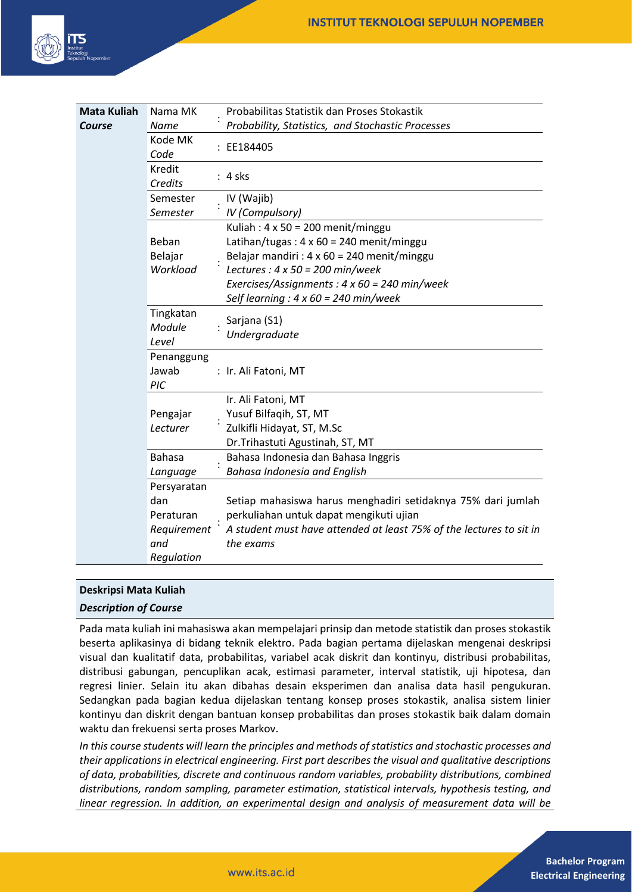

| <b>Mata Kuliah</b> | Nama MK           | Probabilitas Statistik dan Proses Stokastik                         |
|--------------------|-------------------|---------------------------------------------------------------------|
| Course             | <b>Name</b>       | Probability, Statistics, and Stochastic Processes                   |
|                    | Kode MK<br>Code   | : EE184405                                                          |
|                    | Kredit<br>Credits | $: 4$ sks                                                           |
|                    | Semester          | IV (Wajib)                                                          |
|                    | Semester          | <b>IV</b> (Compulsory)                                              |
|                    |                   | Kuliah: $4 \times 50 = 200$ menit/minggu                            |
|                    | Beban             | Latihan/tugas: $4 \times 60 = 240$ menit/minggu                     |
|                    | Belajar           | Belajar mandiri : 4 x 60 = 240 menit/minggu                         |
|                    | Workload          | Lectures : $4 \times 50 = 200$ min/week                             |
|                    |                   | Exercises/Assignments : $4 \times 60 = 240$ min/week                |
|                    |                   | Self learning : $4 \times 60 = 240$ min/week                        |
|                    | Tingkatan         | Sarjana (S1)                                                        |
|                    | Module            | Undergraduate                                                       |
|                    | Level             |                                                                     |
|                    | Penanggung        |                                                                     |
|                    | Jawab             | : Ir. Ali Fatoni, MT                                                |
|                    | PIC               |                                                                     |
|                    |                   | Ir. Ali Fatoni, MT                                                  |
|                    | Pengajar          | Yusuf Bilfaqih, ST, MT                                              |
|                    | Lecturer          | Zulkifli Hidayat, ST, M.Sc                                          |
|                    |                   | Dr.Trihastuti Agustinah, ST, MT                                     |
|                    | <b>Bahasa</b>     | Bahasa Indonesia dan Bahasa Inggris                                 |
|                    | Language          | <b>Bahasa Indonesia and English</b>                                 |
|                    | Persyaratan       |                                                                     |
|                    | dan               | Setiap mahasiswa harus menghadiri setidaknya 75% dari jumlah        |
|                    | Peraturan         | perkuliahan untuk dapat mengikuti ujian                             |
|                    | Requirement       | A student must have attended at least 75% of the lectures to sit in |
|                    | and               | the exams                                                           |
|                    | Regulation        |                                                                     |

# **Deskripsi Mata Kuliah**

### *Description of Course*

Pada mata kuliah ini mahasiswa akan mempelajari prinsip dan metode statistik dan proses stokastik beserta aplikasinya di bidang teknik elektro. Pada bagian pertama dijelaskan mengenai deskripsi visual dan kualitatif data, probabilitas, variabel acak diskrit dan kontinyu, distribusi probabilitas, distribusi gabungan, pencuplikan acak, estimasi parameter, interval statistik, uji hipotesa, dan regresi linier. Selain itu akan dibahas desain eksperimen dan analisa data hasil pengukuran. Sedangkan pada bagian kedua dijelaskan tentang konsep proses stokastik, analisa sistem linier kontinyu dan diskrit dengan bantuan konsep probabilitas dan proses stokastik baik dalam domain waktu dan frekuensi serta proses Markov.

*In this course students will learn the principles and methods of statistics and stochastic processes and their applications in electrical engineering. First part describes the visual and qualitative descriptions of data, probabilities, discrete and continuous random variables, probability distributions, combined distributions, random sampling, parameter estimation, statistical intervals, hypothesis testing, and linear regression. In addition, an experimental design and analysis of measurement data will be*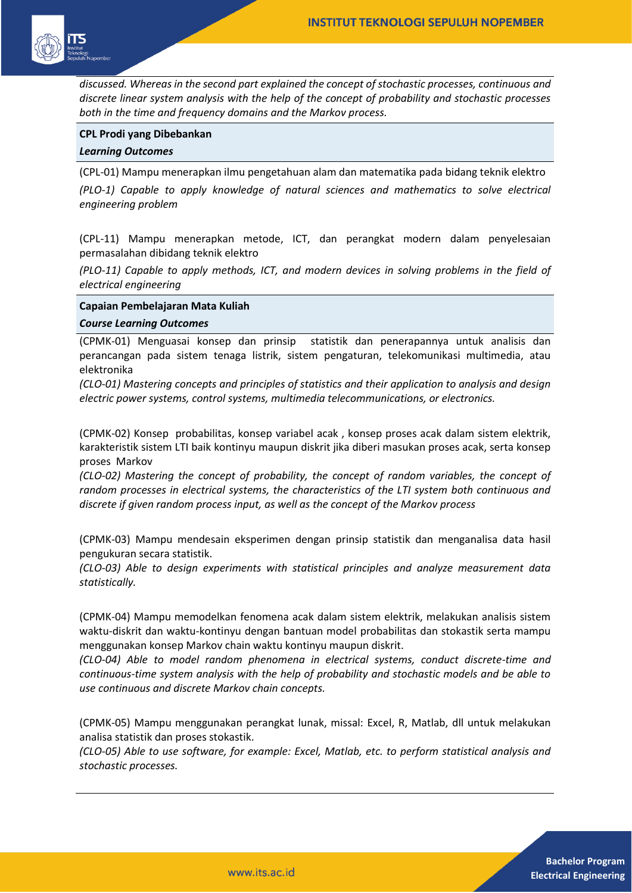

*discussed. Whereas in the second part explained the concept of stochastic processes, continuous and discrete linear system analysis with the help of the concept of probability and stochastic processes both in the time and frequency domains and the Markov process.*

### **CPL Prodi yang Dibebankan**

### *Learning Outcomes*

(CPL-01) Mampu menerapkan ilmu pengetahuan alam dan matematika pada bidang teknik elektro *(PLO-1) Capable to apply knowledge of natural sciences and mathematics to solve electrical engineering problem* 

(CPL-11) Mampu menerapkan metode, ICT, dan perangkat modern dalam penyelesaian permasalahan dibidang teknik elektro

*(PLO-11) Capable to apply methods, ICT, and modern devices in solving problems in the field of electrical engineering*

### **Capaian Pembelajaran Mata Kuliah**

#### *Course Learning Outcomes*

(CPMK-01) Menguasai konsep dan prinsip statistik dan penerapannya untuk analisis dan perancangan pada sistem tenaga listrik, sistem pengaturan, telekomunikasi multimedia, atau elektronika

*(CLO-01) Mastering concepts and principles of statistics and their application to analysis and design electric power systems, control systems, multimedia telecommunications, or electronics.*

(CPMK-02) Konsep probabilitas, konsep variabel acak , konsep proses acak dalam sistem elektrik, karakteristik sistem LTI baik kontinyu maupun diskrit jika diberi masukan proses acak, serta konsep proses Markov

*(CLO-02) Mastering the concept of probability, the concept of random variables, the concept of random processes in electrical systems, the characteristics of the LTI system both continuous and discrete if given random process input, as well as the concept of the Markov process*

(CPMK-03) Mampu mendesain eksperimen dengan prinsip statistik dan menganalisa data hasil pengukuran secara statistik.

*(CLO-03) Able to design experiments with statistical principles and analyze measurement data statistically.*

(CPMK-04) Mampu memodelkan fenomena acak dalam sistem elektrik, melakukan analisis sistem waktu-diskrit dan waktu-kontinyu dengan bantuan model probabilitas dan stokastik serta mampu menggunakan konsep Markov chain waktu kontinyu maupun diskrit.

*(CLO-04) Able to model random phenomena in electrical systems, conduct discrete-time and continuous-time system analysis with the help of probability and stochastic models and be able to use continuous and discrete Markov chain concepts.*

(CPMK-05) Mampu menggunakan perangkat lunak, missal: Excel, R, Matlab, dll untuk melakukan analisa statistik dan proses stokastik.

*(CLO-05) Able to use software, for example: Excel, Matlab, etc. to perform statistical analysis and stochastic processes.*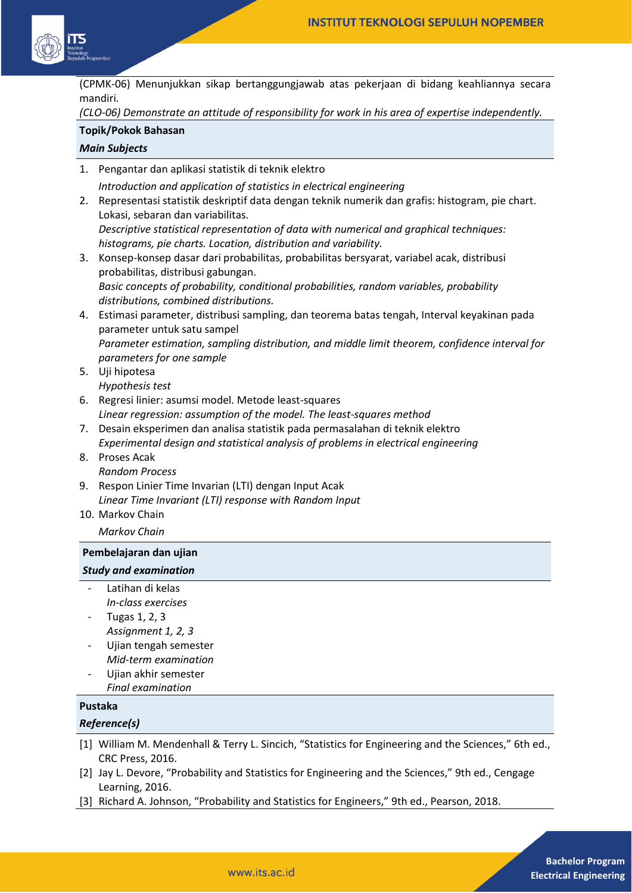

(CPMK-06) Menunjukkan sikap bertanggungjawab atas pekerjaan di bidang keahliannya secara mandiri.

*(CLO-06) Demonstrate an attitude of responsibility for work in his area of expertise independently.*

# **Topik/Pokok Bahasan**

# *Main Subjects*

1. Pengantar dan aplikasi statistik di teknik elektro *Introduction and application of statistics in electrical engineering* 2. Representasi statistik deskriptif data dengan teknik numerik dan grafis: histogram, pie chart.

Lokasi, sebaran dan variabilitas. *Descriptive statistical representation of data with numerical and graphical techniques: histograms, pie charts. Location, distribution and variability.*

- 3. Konsep-konsep dasar dari probabilitas, probabilitas bersyarat, variabel acak, distribusi probabilitas, distribusi gabungan. *Basic concepts of probability, conditional probabilities, random variables, probability distributions, combined distributions.*
- 4. Estimasi parameter, distribusi sampling, dan teorema batas tengah, Interval keyakinan pada parameter untuk satu sampel *Parameter estimation, sampling distribution, and middle limit theorem, confidence interval for parameters for one sample*
- 5. Uji hipotesa *Hypothesis test*
- 6. Regresi linier: asumsi model. Metode least-squares *Linear regression: assumption of the model. The least-squares method*
- 7. Desain eksperimen dan analisa statistik pada permasalahan di teknik elektro *Experimental design and statistical analysis of problems in electrical engineering*
- 8. Proses Acak *Random Process*
- 9. Respon Linier Time Invarian (LTI) dengan Input Acak *Linear Time Invariant (LTI) response with Random Input*
- 10. Markov Chain
	- *Markov Chain*

## **Pembelajaran dan ujian**

## *Study and examination*

- Latihan di kelas *In-class exercises*
- Tugas 1, 2, 3 *Assignment 1, 2, 3*
- Ujian tengah semester *Mid-term examination*
- Ujian akhir semester *Final examination*

# **Pustaka**

## *Reference(s)*

- [1] William M. Mendenhall & Terry L. Sincich, "Statistics for Engineering and the Sciences," 6th ed., CRC Press, 2016.
- [2] Jay L. Devore, "Probability and Statistics for Engineering and the Sciences," 9th ed., Cengage Learning, 2016.
- [3] Richard A. Johnson, "Probability and Statistics for Engineers," 9th ed., Pearson, 2018.